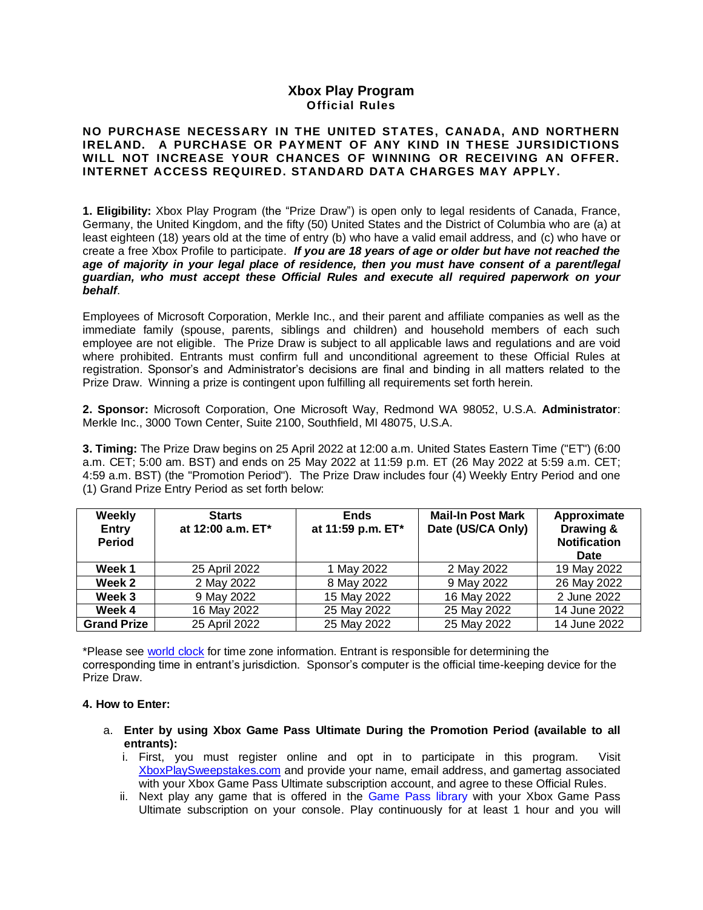# **Xbox Play Program Official Rules**

## **NO PURCHASE NECESSARY IN THE UNITED STATES, CANADA, AND NORTHERN IRELAND. A PURCHASE OR PAYMENT OF ANY KIND IN THESE JURSIDICTIONS WILL NOT INCREASE YOUR CHANCES OF WINNING OR RECEIVING AN OFFER. INTERNET ACCESS REQUIRED. STANDARD DATA CHARGES MAY APPLY.**

**1. Eligibility:** Xbox Play Program (the "Prize Draw") is open only to legal residents of Canada, France, Germany, the United Kingdom, and the fifty (50) United States and the District of Columbia who are (a) at least eighteen (18) years old at the time of entry (b) who have a valid email address, and (c) who have or create a free Xbox Profile to participate. *If you are 18 years of age or older but have not reached the age of majority in your legal place of residence, then you must have consent of a parent/legal guardian, who must accept these Official Rules and execute all required paperwork on your behalf*.

Employees of Microsoft Corporation, Merkle Inc., and their parent and affiliate companies as well as the immediate family (spouse, parents, siblings and children) and household members of each such employee are not eligible. The Prize Draw is subject to all applicable laws and regulations and are void where prohibited. Entrants must confirm full and unconditional agreement to these Official Rules at registration. Sponsor's and Administrator's decisions are final and binding in all matters related to the Prize Draw. Winning a prize is contingent upon fulfilling all requirements set forth herein.

**2. Sponsor:** Microsoft Corporation, One Microsoft Way, Redmond WA 98052, U.S.A. **Administrator**: Merkle Inc., 3000 Town Center, Suite 2100, Southfield, MI 48075, U.S.A.

**3. Timing:** The Prize Draw begins on 25 April 2022 at 12:00 a.m. United States Eastern Time ("ET") (6:00 a.m. CET; 5:00 am. BST) and ends on 25 May 2022 at 11:59 p.m. ET (26 May 2022 at 5:59 a.m. CET; 4:59 a.m. BST) (the "Promotion Period"). The Prize Draw includes four (4) Weekly Entry Period and one (1) Grand Prize Entry Period as set forth below:

| Weekly<br><b>Entry</b><br><b>Period</b> | <b>Starts</b><br>at 12:00 a.m. ET* | <b>Ends</b><br>at 11:59 p.m. ET* | <b>Mail-In Post Mark</b><br>Date (US/CA Only) | Approximate<br>Drawing &<br><b>Notification</b><br><b>Date</b> |
|-----------------------------------------|------------------------------------|----------------------------------|-----------------------------------------------|----------------------------------------------------------------|
| Week 1                                  | 25 April 2022                      | 1 May 2022                       | 2 May 2022                                    | 19 May 2022                                                    |
| Week 2                                  | 2 May 2022                         | 8 May 2022                       | 9 May 2022                                    | 26 May 2022                                                    |
| Week 3                                  | 9 May 2022                         | 15 May 2022                      | 16 May 2022                                   | 2 June 2022                                                    |
| Week 4                                  | 16 May 2022                        | 25 May 2022                      | 25 May 2022                                   | 14 June 2022                                                   |
| <b>Grand Prize</b>                      | 25 April 2022                      | 25 May 2022                      | 25 May 2022                                   | 14 June 2022                                                   |

\*Please see [world clock](http://www.timeanddate.com/worldclock/) for time zone information. Entrant is responsible for determining the corresponding time in entrant's jurisdiction. Sponsor's computer is the official time-keeping device for the Prize Draw.

### **4. How to Enter:**

- a. **Enter by using Xbox Game Pass Ultimate During the Promotion Period (available to all entrants):** 
	- i. First, you must register online and opt in to participate in this program. Visit [XboxPlaySweepstakes.com](http://www.xboxplaysweepstakes.com/) and provide your name, email address, and gamertag associated with your Xbox Game Pass Ultimate subscription account, and agree to these Official Rules.
	- ii. Next play any game that is offered in the [Game Pass](https://www.xbox.com/en-US/xbox-game-pass/games?xr=shellnav) library with your Xbox Game Pass Ultimate subscription on your console. Play continuously for at least 1 hour and you will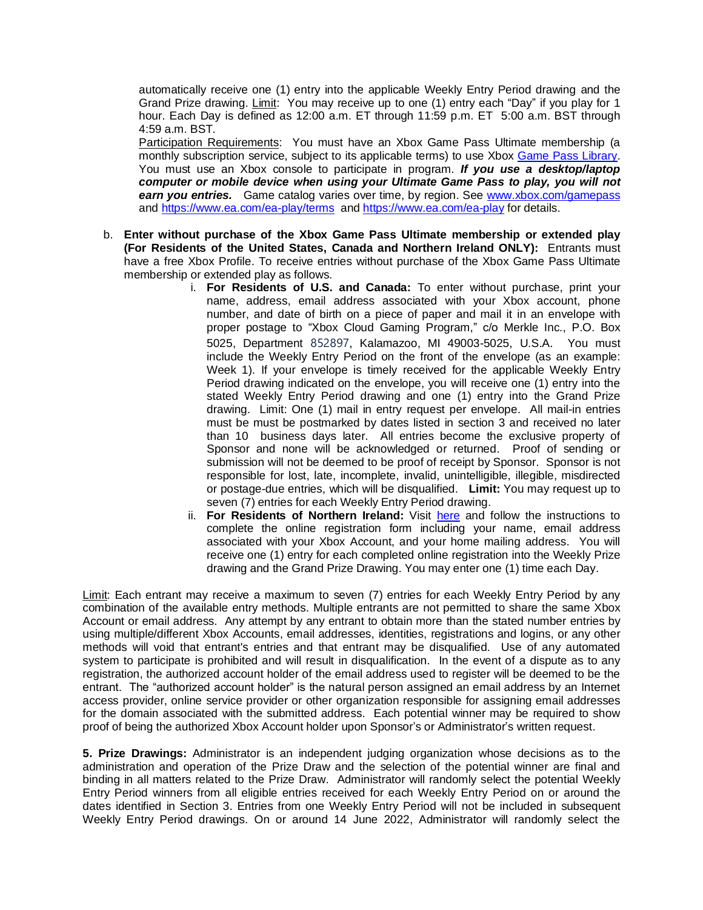automatically receive one (1) entry into the applicable Weekly Entry Period drawing and the Grand Prize drawing. Limit: You may receive up to one (1) entry each "Day" if you play for 1 hour. Each Day is defined as 12:00 a.m. ET through 11:59 p.m. ET 5:00 a.m. BST through 4:59 a.m. BST.

Participation Requirements: You must have an Xbox Game Pass Ultimate membership (a monthly subscription service, subject to its applicable terms) to use Xbox [Game Pass Library.](https://www.xbox.com/en-US/xbox-game-pass/games?xr=shellnav) You must use an Xbox console to participate in program. *If you use a desktop/laptop computer or mobile device when using your Ultimate Game Pass to play, you will not*  **earn you entries.** Game catalog varies over time, by region. See [www.xbox.com/gamepass](http://www.xbox.com/gamepass) and<https://www.ea.com/ea-play/terms> and<https://www.ea.com/ea-play> for details.

- b. **Enter without purchase of the Xbox Game Pass Ultimate membership or extended play (For Residents of the United States, Canada and Northern Ireland ONLY):** Entrants must have a free Xbox Profile. To receive entries without purchase of the Xbox Game Pass Ultimate membership or extended play as follows.
	- i. **For Residents of U.S. and Canada:** To enter without purchase, print your name, address, email address associated with your Xbox account, phone number, and date of birth on a piece of paper and mail it in an envelope with proper postage to "Xbox Cloud Gaming Program," c/o Merkle Inc., P.O. Box 5025, Department 852897, Kalamazoo, MI 49003-5025, U.S.A. You must include the Weekly Entry Period on the front of the envelope (as an example: Week 1). If your envelope is timely received for the applicable Weekly Entry Period drawing indicated on the envelope, you will receive one (1) entry into the stated Weekly Entry Period drawing and one (1) entry into the Grand Prize drawing. Limit: One (1) mail in entry request per envelope. All mail-in entries must be must be postmarked by dates listed in section 3 and received no later than 10 business days later. All entries become the exclusive property of Sponsor and none will be acknowledged or returned. Proof of sending or submission will not be deemed to be proof of receipt by Sponsor. Sponsor is not responsible for lost, late, incomplete, invalid, unintelligible, illegible, misdirected or postage-due entries, which will be disqualified. **Limit:** You may request up to seven (7) entries for each Weekly Entry Period drawing.
	- ii. **For Residents of Northern Ireland:** Visit [here](https://xbox-playsweepstakes.promo.eprize.com/?affiliate_id=oamoe#/) and follow the instructions to complete the online registration form including your name, email address associated with your Xbox Account, and your home mailing address. You will receive one (1) entry for each completed online registration into the Weekly Prize drawing and the Grand Prize Drawing. You may enter one (1) time each Day.

Limit: Each entrant may receive a maximum to seven (7) entries for each Weekly Entry Period by any combination of the available entry methods. Multiple entrants are not permitted to share the same Xbox Account or email address. Any attempt by any entrant to obtain more than the stated number entries by using multiple/different Xbox Accounts, email addresses, identities, registrations and logins, or any other methods will void that entrant's entries and that entrant may be disqualified. Use of any automated system to participate is prohibited and will result in disqualification. In the event of a dispute as to any registration, the authorized account holder of the email address used to register will be deemed to be the entrant. The "authorized account holder" is the natural person assigned an email address by an Internet access provider, online service provider or other organization responsible for assigning email addresses for the domain associated with the submitted address. Each potential winner may be required to show proof of being the authorized Xbox Account holder upon Sponsor's or Administrator's written request.

**5. Prize Drawings:** Administrator is an independent judging organization whose decisions as to the administration and operation of the Prize Draw and the selection of the potential winner are final and binding in all matters related to the Prize Draw. Administrator will randomly select the potential Weekly Entry Period winners from all eligible entries received for each Weekly Entry Period on or around the dates identified in Section 3. Entries from one Weekly Entry Period will not be included in subsequent Weekly Entry Period drawings. On or around 14 June 2022, Administrator will randomly select the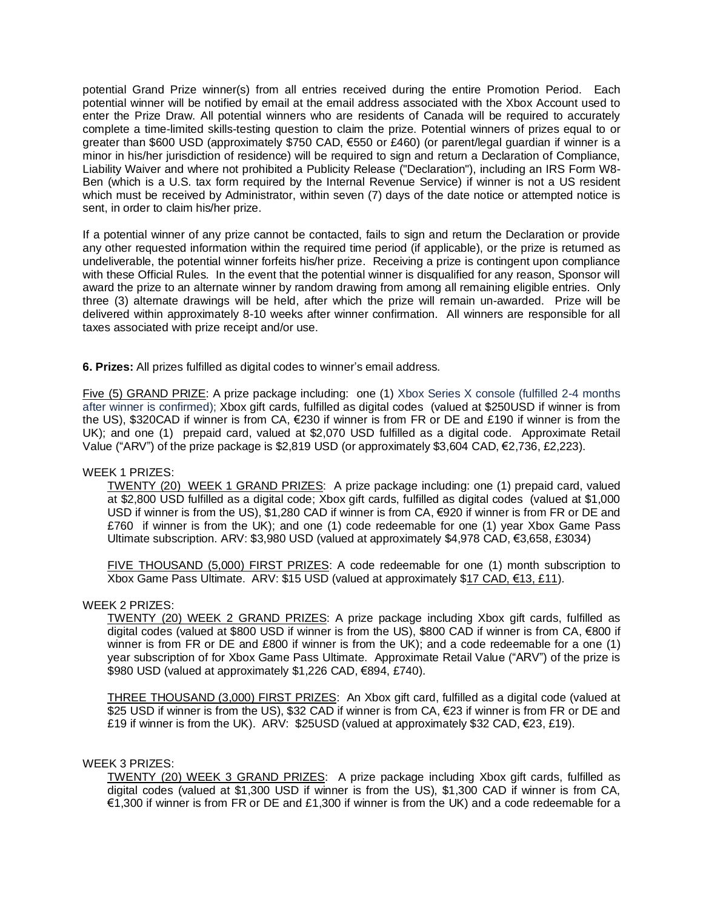potential Grand Prize winner(s) from all entries received during the entire Promotion Period. Each potential winner will be notified by email at the email address associated with the Xbox Account used to enter the Prize Draw. All potential winners who are residents of Canada will be required to accurately complete a time-limited skills-testing question to claim the prize. Potential winners of prizes equal to or greater than \$600 USD (approximately \$750 CAD, €550 or £460) (or parent/legal guardian if winner is a minor in his/her jurisdiction of residence) will be required to sign and return a Declaration of Compliance, Liability Waiver and where not prohibited a Publicity Release ("Declaration"), including an IRS Form W8- Ben (which is a U.S. tax form required by the Internal Revenue Service) if winner is not a US resident which must be received by Administrator, within seven (7) days of the date notice or attempted notice is sent, in order to claim his/her prize.

If a potential winner of any prize cannot be contacted, fails to sign and return the Declaration or provide any other requested information within the required time period (if applicable), or the prize is returned as undeliverable, the potential winner forfeits his/her prize. Receiving a prize is contingent upon compliance with these Official Rules. In the event that the potential winner is disqualified for any reason, Sponsor will award the prize to an alternate winner by random drawing from among all remaining eligible entries. Only three (3) alternate drawings will be held, after which the prize will remain un-awarded. Prize will be delivered within approximately 8-10 weeks after winner confirmation. All winners are responsible for all taxes associated with prize receipt and/or use.

**6. Prizes:** All prizes fulfilled as digital codes to winner's email address.

Five (5) GRAND PRIZE: A prize package including: one (1) Xbox Series X console (fulfilled 2-4 months after winner is confirmed); Xbox gift cards, fulfilled as digital codes (valued at \$250USD if winner is from the US), \$320CAD if winner is from CA, €230 if winner is from FR or DE and £190 if winner is from the UK); and one (1) prepaid card, valued at \$2,070 USD fulfilled as a digital code. Approximate Retail Value ("ARV") of the prize package is \$2,819 USD (or approximately \$3,604 CAD,  $\epsilon$ 2,736, £2,223).

### WEEK 1 PRIZES:

TWENTY (20) WEEK 1 GRAND PRIZES: A prize package including: one (1) prepaid card, valued at \$2,800 USD fulfilled as a digital code; Xbox gift cards, fulfilled as digital codes (valued at \$1,000 USD if winner is from the US), \$1,280 CAD if winner is from CA, €920 if winner is from FR or DE and £760 if winner is from the UK); and one (1) code redeemable for one (1) year Xbox Game Pass Ultimate subscription. ARV: \$3,980 USD (valued at approximately \$4,978 CAD, €3,658, £3034)

FIVE THOUSAND (5,000) FIRST PRIZES: A code redeemable for one (1) month subscription to Xbox Game Pass Ultimate. ARV: \$15 USD (valued at approximately \$17 CAD, €13, £11).

#### WEEK 2 PRIZES:

TWENTY (20) WEEK 2 GRAND PRIZES: A prize package including Xbox gift cards, fulfilled as digital codes (valued at \$800 USD if winner is from the US), \$800 CAD if winner is from CA, €800 if winner is from FR or DE and £800 if winner is from the UK); and a code redeemable for a one (1) year subscription of for Xbox Game Pass Ultimate. Approximate Retail Value ("ARV") of the prize is \$980 USD (valued at approximately \$1,226 CAD, €894, £740).

THREE THOUSAND (3,000) FIRST PRIZES: An Xbox gift card, fulfilled as a digital code (valued at \$25 USD if winner is from the US), \$32 CAD if winner is from CA, €23 if winner is from FR or DE and £19 if winner is from the UK). ARV: \$25USD (valued at approximately \$32 CAD,  $\epsilon$ 23, £19).

#### WEEK 3 PRIZES:

TWENTY (20) WEEK 3 GRAND PRIZES: A prize package including Xbox gift cards, fulfilled as digital codes (valued at \$1,300 USD if winner is from the US), \$1,300 CAD if winner is from CA, €1,300 if winner is from FR or DE and £1,300 if winner is from the UK) and a code redeemable for a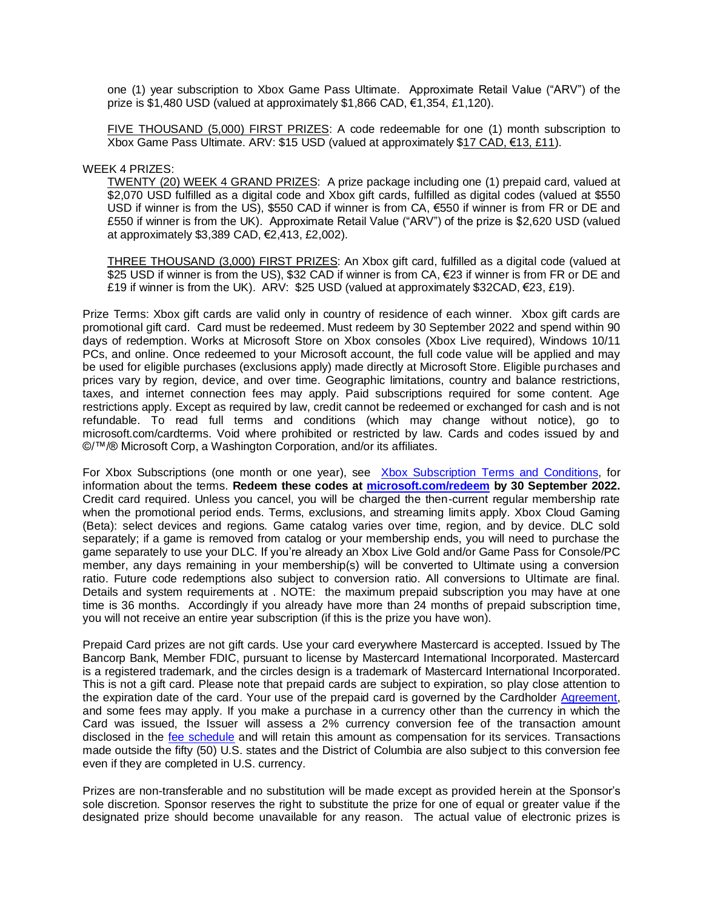one (1) year subscription to Xbox Game Pass Ultimate. Approximate Retail Value ("ARV") of the prize is \$1,480 USD (valued at approximately \$1,866 CAD, €1,354, £1,120).

FIVE THOUSAND (5,000) FIRST PRIZES: A code redeemable for one (1) month subscription to Xbox Game Pass Ultimate. ARV: \$15 USD (valued at approximately \$17 CAD, €13, £11).

WEEK 4 PRIZES:

TWENTY (20) WEEK 4 GRAND PRIZES: A prize package including one (1) prepaid card, valued at \$2,070 USD fulfilled as a digital code and Xbox gift cards, fulfilled as digital codes (valued at \$550 USD if winner is from the US), \$550 CAD if winner is from CA, €550 if winner is from FR or DE and £550 if winner is from the UK). Approximate Retail Value ("ARV") of the prize is \$2,620 USD (valued at approximately \$3,389 CAD, €2,413, £2,002).

THREE THOUSAND (3,000) FIRST PRIZES: An Xbox gift card, fulfilled as a digital code (valued at \$25 USD if winner is from the US), \$32 CAD if winner is from CA, €23 if winner is from FR or DE and £19 if winner is from the UK). ARV:  $$25$  USD (valued at approximately  $$32CAD, €23, £19$ ).

Prize Terms: Xbox gift cards are valid only in country of residence of each winner. Xbox gift cards are promotional gift card. Card must be redeemed. Must redeem by 30 September 2022 and spend within 90 days of redemption. Works at Microsoft Store on Xbox consoles (Xbox Live required), Windows 10/11 PCs, and online. Once redeemed to your Microsoft account, the full code value will be applied and may be used for eligible purchases (exclusions apply) made directly at Microsoft Store. Eligible purchases and prices vary by region, device, and over time. Geographic limitations, country and balance restrictions, taxes, and internet connection fees may apply. Paid subscriptions required for some content. Age restrictions apply. Except as required by law, credit cannot be redeemed or exchanged for cash and is not refundable. To read full terms and conditions (which may change without notice), go to microsoft.com/cardterms. Void where prohibited or restricted by law. Cards and codes issued by and ©/™/® Microsoft Corp, a Washington Corporation, and/or its affiliates.

For Xbox Subscriptions (one month or one year), see [Xbox Subscription Terms and Conditions,](https://www.xbox.com/legal/subscription-terms) for information about the terms. **Redeem these codes at [microsoft.com/redeem](https://microsoft.com/redeem) by 30 September 2022.**  Credit card required. Unless you cancel, you will be charged the then-current regular membership rate when the promotional period ends. Terms, exclusions, and streaming limits apply. Xbox Cloud Gaming (Beta): select devices and regions. Game catalog varies over time, region, and by device. DLC sold separately; if a game is removed from catalog or your membership ends, you will need to purchase the game separately to use your DLC. If you're already an Xbox Live Gold and/or Game Pass for Console/PC member, any days remaining in your membership(s) will be converted to Ultimate using a conversion ratio. Future code redemptions also subject to conversion ratio. All conversions to Ultimate are final. Details and system requirements at . NOTE: the maximum prepaid subscription you may have at one time is 36 months. Accordingly if you already have more than 24 months of prepaid subscription time, you will not receive an entire year subscription (if this is the prize you have won).

Prepaid Card prizes are not gift cards. Use your card everywhere Mastercard is accepted. Issued by The Bancorp Bank, Member FDIC, pursuant to license by Mastercard International Incorporated. Mastercard is a registered trademark, and the circles design is a trademark of Mastercard International Incorporated. This is not a gift card. Please note that prepaid cards are subject to expiration, so play close attention to the expiration date of the card. Your use of the prepaid card is governed by the Cardholder [Agreement,](https://xbox.promo.eprize.com/playsweepstakes/public/fulfillment/Onbe_Mastercard_Sweep_Lap_Incentive_RID_26044_11_18_21.pdf) and some fees may apply. If you make a purchase in a currency other than the currency in which the Card was issued, the Issuer will assess a 2% currency conversion fee of the transaction amount disclosed in the [fee schedule](https://xbox.promo.eprize.com/playsweepstakes/public/fulfillment/FeeSlip.pdf) and will retain this amount as compensation for its services. Transactions made outside the fifty (50) U.S. states and the District of Columbia are also subject to this conversion fee even if they are completed in U.S. currency.

Prizes are non-transferable and no substitution will be made except as provided herein at the Sponsor's sole discretion. Sponsor reserves the right to substitute the prize for one of equal or greater value if the designated prize should become unavailable for any reason. The actual value of electronic prizes is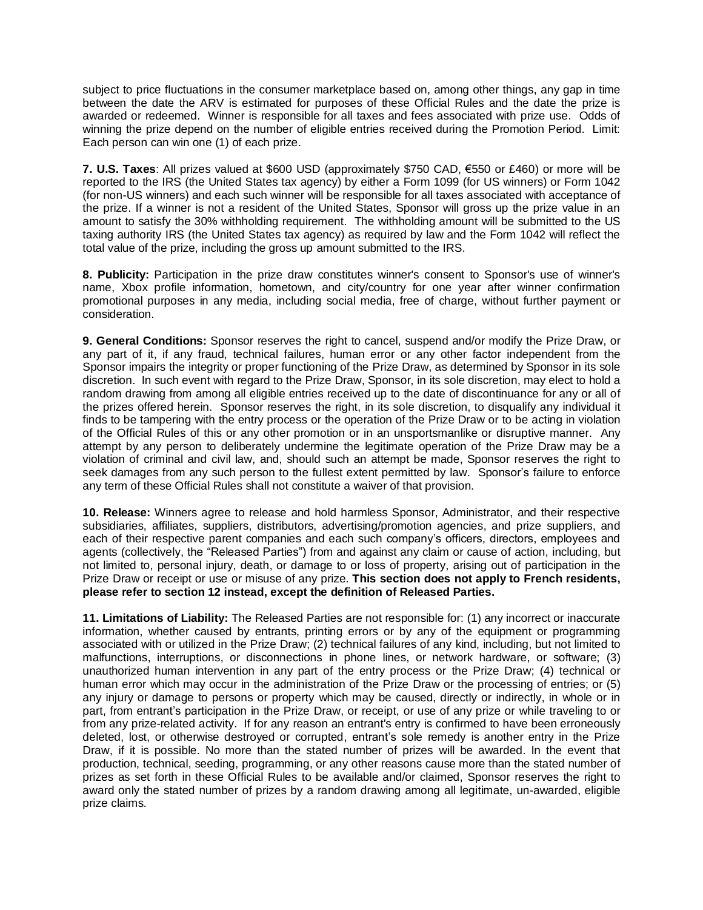subject to price fluctuations in the consumer marketplace based on, among other things, any gap in time between the date the ARV is estimated for purposes of these Official Rules and the date the prize is awarded or redeemed. Winner is responsible for all taxes and fees associated with prize use. Odds of winning the prize depend on the number of eligible entries received during the Promotion Period. Limit: Each person can win one (1) of each prize.

**7. U.S. Taxes**: All prizes valued at \$600 USD (approximately \$750 CAD, €550 or £460) or more will be reported to the IRS (the United States tax agency) by either a Form 1099 (for US winners) or Form 1042 (for non-US winners) and each such winner will be responsible for all taxes associated with acceptance of the prize. If a winner is not a resident of the United States, Sponsor will gross up the prize value in an amount to satisfy the 30% withholding requirement. The withholding amount will be submitted to the US taxing authority IRS (the United States tax agency) as required by law and the Form 1042 will reflect the total value of the prize, including the gross up amount submitted to the IRS.

**8. Publicity:** Participation in the prize draw constitutes winner's consent to Sponsor's use of winner's name, Xbox profile information, hometown, and city/country for one year after winner confirmation promotional purposes in any media, including social media, free of charge, without further payment or consideration.

**9. General Conditions:** Sponsor reserves the right to cancel, suspend and/or modify the Prize Draw, or any part of it, if any fraud, technical failures, human error or any other factor independent from the Sponsor impairs the integrity or proper functioning of the Prize Draw, as determined by Sponsor in its sole discretion. In such event with regard to the Prize Draw, Sponsor, in its sole discretion, may elect to hold a random drawing from among all eligible entries received up to the date of discontinuance for any or all of the prizes offered herein. Sponsor reserves the right, in its sole discretion, to disqualify any individual it finds to be tampering with the entry process or the operation of the Prize Draw or to be acting in violation of the Official Rules of this or any other promotion or in an unsportsmanlike or disruptive manner. Any attempt by any person to deliberately undermine the legitimate operation of the Prize Draw may be a violation of criminal and civil law, and, should such an attempt be made, Sponsor reserves the right to seek damages from any such person to the fullest extent permitted by law. Sponsor's failure to enforce any term of these Official Rules shall not constitute a waiver of that provision.

**10. Release:** Winners agree to release and hold harmless Sponsor, Administrator, and their respective subsidiaries, affiliates, suppliers, distributors, advertising/promotion agencies, and prize suppliers, and each of their respective parent companies and each such company's officers, directors, employees and agents (collectively, the "Released Parties") from and against any claim or cause of action, including, but not limited to, personal injury, death, or damage to or loss of property, arising out of participation in the Prize Draw or receipt or use or misuse of any prize. **This section does not apply to French residents, please refer to section 12 instead, except the definition of Released Parties.**

**11. Limitations of Liability:** The Released Parties are not responsible for: (1) any incorrect or inaccurate information, whether caused by entrants, printing errors or by any of the equipment or programming associated with or utilized in the Prize Draw; (2) technical failures of any kind, including, but not limited to malfunctions, interruptions, or disconnections in phone lines, or network hardware, or software; (3) unauthorized human intervention in any part of the entry process or the Prize Draw; (4) technical or human error which may occur in the administration of the Prize Draw or the processing of entries; or (5) any injury or damage to persons or property which may be caused, directly or indirectly, in whole or in part, from entrant's participation in the Prize Draw, or receipt, or use of any prize or while traveling to or from any prize-related activity. If for any reason an entrant's entry is confirmed to have been erroneously deleted, lost, or otherwise destroyed or corrupted, entrant's sole remedy is another entry in the Prize Draw, if it is possible. No more than the stated number of prizes will be awarded. In the event that production, technical, seeding, programming, or any other reasons cause more than the stated number of prizes as set forth in these Official Rules to be available and/or claimed, Sponsor reserves the right to award only the stated number of prizes by a random drawing among all legitimate, un-awarded, eligible prize claims.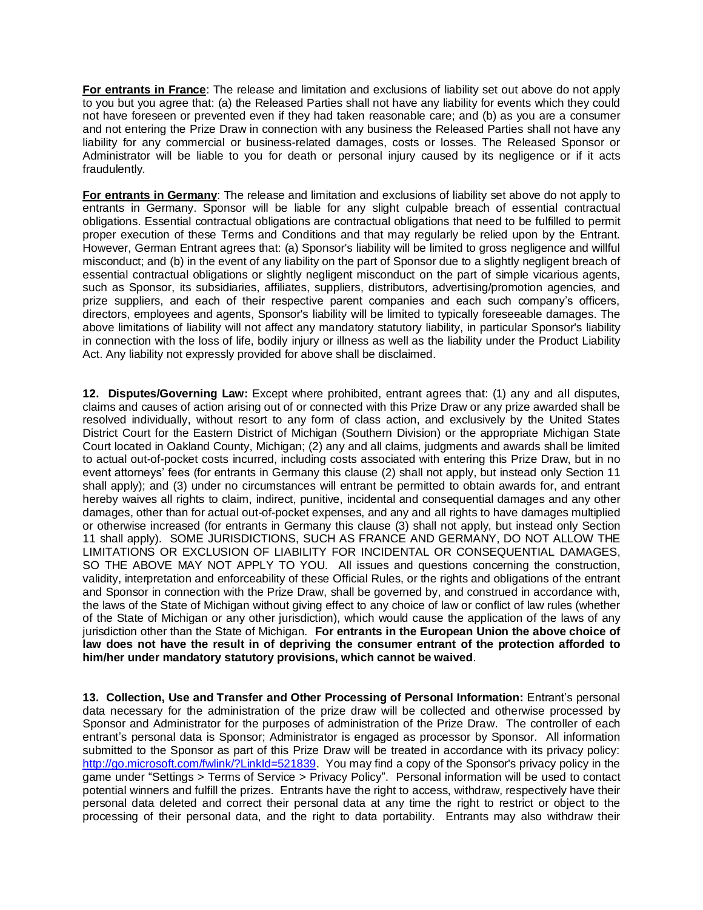**For entrants in France**: The release and limitation and exclusions of liability set out above do not apply to you but you agree that: (a) the Released Parties shall not have any liability for events which they could not have foreseen or prevented even if they had taken reasonable care; and (b) as you are a consumer and not entering the Prize Draw in connection with any business the Released Parties shall not have any liability for any commercial or business-related damages, costs or losses. The Released Sponsor or Administrator will be liable to you for death or personal injury caused by its negligence or if it acts fraudulently.

**For entrants in Germany**: The release and limitation and exclusions of liability set above do not apply to entrants in Germany. Sponsor will be liable for any slight culpable breach of essential contractual obligations. Essential contractual obligations are contractual obligations that need to be fulfilled to permit proper execution of these Terms and Conditions and that may regularly be relied upon by the Entrant. However, German Entrant agrees that: (a) Sponsor's liability will be limited to gross negligence and willful misconduct; and (b) in the event of any liability on the part of Sponsor due to a slightly negligent breach of essential contractual obligations or slightly negligent misconduct on the part of simple vicarious agents, such as Sponsor, its subsidiaries, affiliates, suppliers, distributors, advertising/promotion agencies, and prize suppliers, and each of their respective parent companies and each such company's officers, directors, employees and agents, Sponsor's liability will be limited to typically foreseeable damages. The above limitations of liability will not affect any mandatory statutory liability, in particular Sponsor's liability in connection with the loss of life, bodily injury or illness as well as the liability under the Product Liability Act. Any liability not expressly provided for above shall be disclaimed.

**12. Disputes/Governing Law:** Except where prohibited, entrant agrees that: (1) any and all disputes, claims and causes of action arising out of or connected with this Prize Draw or any prize awarded shall be resolved individually, without resort to any form of class action, and exclusively by the United States District Court for the Eastern District of Michigan (Southern Division) or the appropriate Michigan State Court located in Oakland County, Michigan; (2) any and all claims, judgments and awards shall be limited to actual out-of-pocket costs incurred, including costs associated with entering this Prize Draw, but in no event attorneys' fees (for entrants in Germany this clause (2) shall not apply, but instead only Section 11 shall apply); and (3) under no circumstances will entrant be permitted to obtain awards for, and entrant hereby waives all rights to claim, indirect, punitive, incidental and consequential damages and any other damages, other than for actual out-of-pocket expenses, and any and all rights to have damages multiplied or otherwise increased (for entrants in Germany this clause (3) shall not apply, but instead only Section 11 shall apply). SOME JURISDICTIONS, SUCH AS FRANCE AND GERMANY, DO NOT ALLOW THE LIMITATIONS OR EXCLUSION OF LIABILITY FOR INCIDENTAL OR CONSEQUENTIAL DAMAGES, SO THE ABOVE MAY NOT APPLY TO YOU. All issues and questions concerning the construction, validity, interpretation and enforceability of these Official Rules, or the rights and obligations of the entrant and Sponsor in connection with the Prize Draw, shall be governed by, and construed in accordance with, the laws of the State of Michigan without giving effect to any choice of law or conflict of law rules (whether of the State of Michigan or any other jurisdiction), which would cause the application of the laws of any jurisdiction other than the State of Michigan. **For entrants in the European Union the above choice of law does not have the result in of depriving the consumer entrant of the protection afforded to him/her under mandatory statutory provisions, which cannot be waived**.

**13. Collection, Use and Transfer and Other Processing of Personal Information:** Entrant's personal data necessary for the administration of the prize draw will be collected and otherwise processed by Sponsor and Administrator for the purposes of administration of the Prize Draw. The controller of each entrant's personal data is Sponsor; Administrator is engaged as processor by Sponsor. All information submitted to the Sponsor as part of this Prize Draw will be treated in accordance with its privacy policy: [http://go.microsoft.com/fwlink/?LinkId=521839.](http://go.microsoft.com/fwlink/?LinkId=521839) You may find a copy of the Sponsor's privacy policy in the game under "Settings > Terms of Service > Privacy Policy". Personal information will be used to contact potential winners and fulfill the prizes. Entrants have the right to access, withdraw, respectively have their personal data deleted and correct their personal data at any time the right to restrict or object to the processing of their personal data, and the right to data portability. Entrants may also withdraw their